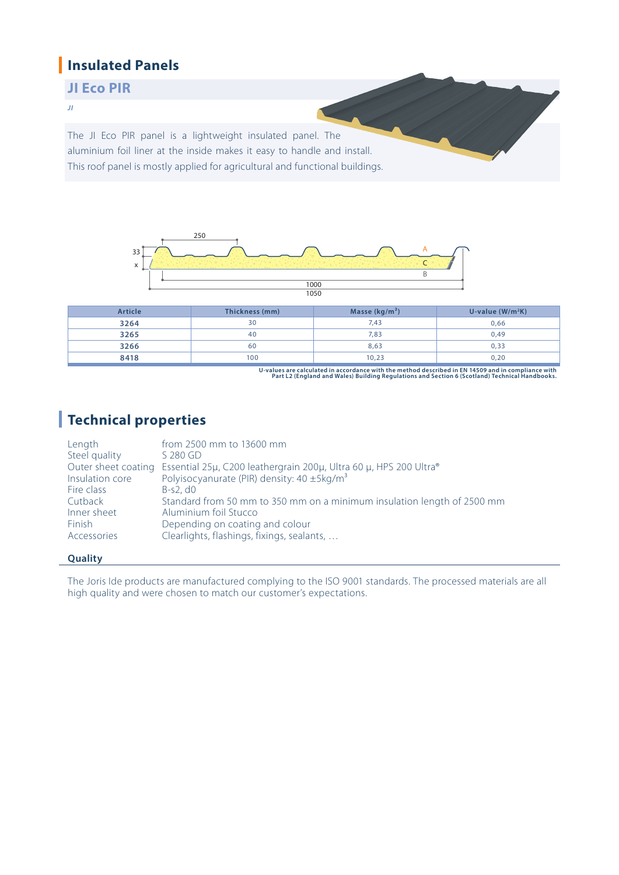### **Insulated Panels**

### **JI Eco PIR**

*JI*

The JI Eco PIR panel is a lightweight insulated panel. The aluminium foil liner at the inside makes it easy to handle and install. This roof panel is mostly applied for agricultural and functional buildings.



| Article | Thickness (mm) | Masse $(kg/m2)$ | U-value $(W/m^2K)$ |
|---------|----------------|-----------------|--------------------|
| 3264    | 30             | 7,43            | 0,66               |
| 3265    | 40             | 7,83            | 0,49               |
| 3266    | 60             | 8,63            | 0,33               |
| 8418    | 100            | 10,23           | 0,20               |

**U-values are calculated in accordance with the method described in EN 14509 and in compliance with Part L2 (England and Wales) Building Regulations and Section 6 (Scotland) Technical Handbooks.**

## **Technical properties**

| Length          | from 2500 mm to 13600 mm                                                              |
|-----------------|---------------------------------------------------------------------------------------|
| Steel quality   | $S$ 280 GD                                                                            |
|                 | Outer sheet coating Essential 25μ, C200 leathergrain 200μ, Ultra 60 μ, HPS 200 Ultra® |
| Insulation core | Polyisocyanurate (PIR) density: 40 ±5kg/m <sup>3</sup>                                |
| Fire class      | $B-S2. d0$                                                                            |
| Cutback         | Standard from 50 mm to 350 mm on a minimum insulation length of 2500 mm               |
| Inner sheet     | Aluminium foil Stucco                                                                 |
| Finish          | Depending on coating and colour                                                       |
| Accessories     | Clearlights, flashings, fixings, sealants,                                            |
|                 |                                                                                       |

#### **Quality**

The Joris Ide products are manufactured complying to the ISO 9001 standards. The processed materials are all high quality and were chosen to match our customer's expectations.